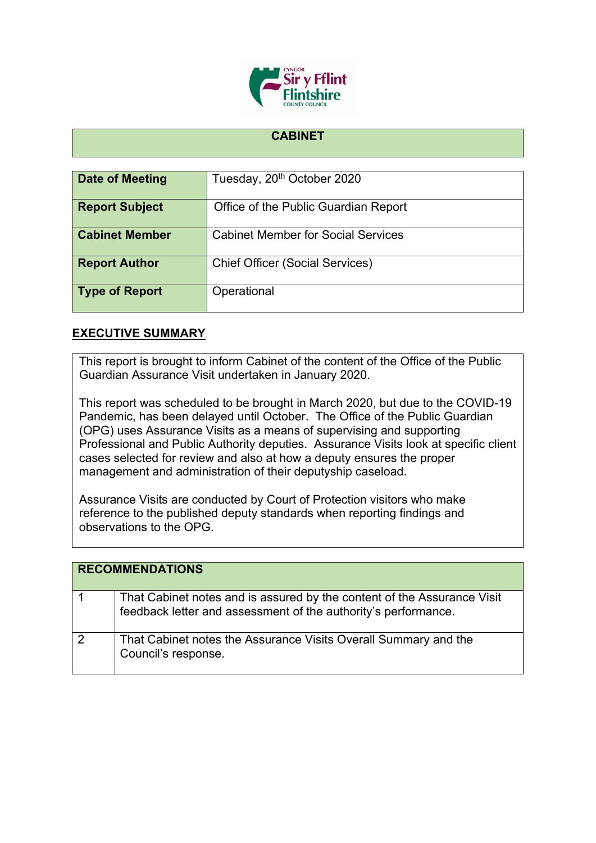

## **CABINET**

| Date of Meeting       | Tuesday, 20 <sup>th</sup> October 2020    |
|-----------------------|-------------------------------------------|
| <b>Report Subject</b> | Office of the Public Guardian Report      |
| <b>Cabinet Member</b> | <b>Cabinet Member for Social Services</b> |
| <b>Report Author</b>  | <b>Chief Officer (Social Services)</b>    |
| <b>Type of Report</b> | Operational                               |

## **EXECUTIVE SUMMARY**

This report is brought to inform Cabinet of the content of the Office of the Public Guardian Assurance Visit undertaken in January 2020.

This report was scheduled to be brought in March 2020, but due to the COVID-19 Pandemic, has been delayed until October. The Office of the Public Guardian (OPG) uses Assurance Visits as a means of supervising and supporting Professional and Public Authority deputies. Assurance Visits look at specific client cases selected for review and also at how a deputy ensures the proper management and administration of their deputyship caseload.

Assurance Visits are conducted by Court of Protection visitors who make reference to the published deputy standards when reporting findings and observations to the OPG.

| <b>RECOMMENDATIONS</b> |                                                                                                                                           |
|------------------------|-------------------------------------------------------------------------------------------------------------------------------------------|
|                        | That Cabinet notes and is assured by the content of the Assurance Visit<br>feedback letter and assessment of the authority's performance. |
|                        | That Cabinet notes the Assurance Visits Overall Summary and the<br>Council's response.                                                    |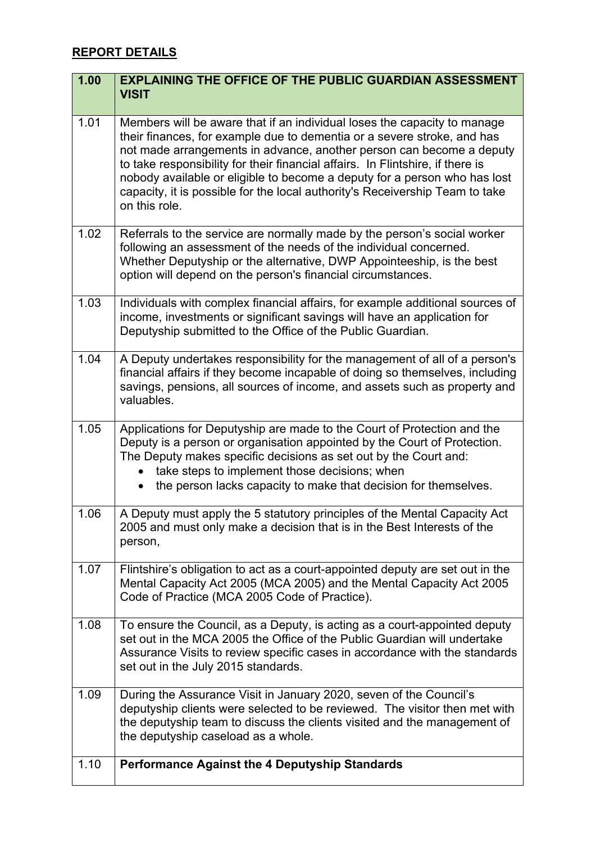# **REPORT DETAILS**

| 1.00 | <b>EXPLAINING THE OFFICE OF THE PUBLIC GUARDIAN ASSESSMENT</b><br><b>VISIT</b>                                                                                                                                                                                                                                                                                                                                                                                                              |
|------|---------------------------------------------------------------------------------------------------------------------------------------------------------------------------------------------------------------------------------------------------------------------------------------------------------------------------------------------------------------------------------------------------------------------------------------------------------------------------------------------|
| 1.01 | Members will be aware that if an individual loses the capacity to manage<br>their finances, for example due to dementia or a severe stroke, and has<br>not made arrangements in advance, another person can become a deputy<br>to take responsibility for their financial affairs. In Flintshire, if there is<br>nobody available or eligible to become a deputy for a person who has lost<br>capacity, it is possible for the local authority's Receivership Team to take<br>on this role. |
| 1.02 | Referrals to the service are normally made by the person's social worker<br>following an assessment of the needs of the individual concerned.<br>Whether Deputyship or the alternative, DWP Appointeeship, is the best<br>option will depend on the person's financial circumstances.                                                                                                                                                                                                       |
| 1.03 | Individuals with complex financial affairs, for example additional sources of<br>income, investments or significant savings will have an application for<br>Deputyship submitted to the Office of the Public Guardian.                                                                                                                                                                                                                                                                      |
| 1.04 | A Deputy undertakes responsibility for the management of all of a person's<br>financial affairs if they become incapable of doing so themselves, including<br>savings, pensions, all sources of income, and assets such as property and<br>valuables.                                                                                                                                                                                                                                       |
| 1.05 | Applications for Deputyship are made to the Court of Protection and the<br>Deputy is a person or organisation appointed by the Court of Protection.<br>The Deputy makes specific decisions as set out by the Court and:<br>take steps to implement those decisions; when<br>the person lacks capacity to make that decision for themselves.                                                                                                                                                 |
| 1.06 | A Deputy must apply the 5 statutory principles of the Mental Capacity Act<br>2005 and must only make a decision that is in the Best Interests of the<br>person,                                                                                                                                                                                                                                                                                                                             |
| 1.07 | Flintshire's obligation to act as a court-appointed deputy are set out in the<br>Mental Capacity Act 2005 (MCA 2005) and the Mental Capacity Act 2005<br>Code of Practice (MCA 2005 Code of Practice).                                                                                                                                                                                                                                                                                      |
| 1.08 | To ensure the Council, as a Deputy, is acting as a court-appointed deputy<br>set out in the MCA 2005 the Office of the Public Guardian will undertake<br>Assurance Visits to review specific cases in accordance with the standards<br>set out in the July 2015 standards.                                                                                                                                                                                                                  |
| 1.09 | During the Assurance Visit in January 2020, seven of the Council's<br>deputyship clients were selected to be reviewed. The visitor then met with<br>the deputyship team to discuss the clients visited and the management of<br>the deputyship caseload as a whole.                                                                                                                                                                                                                         |
| 1.10 | <b>Performance Against the 4 Deputyship Standards</b>                                                                                                                                                                                                                                                                                                                                                                                                                                       |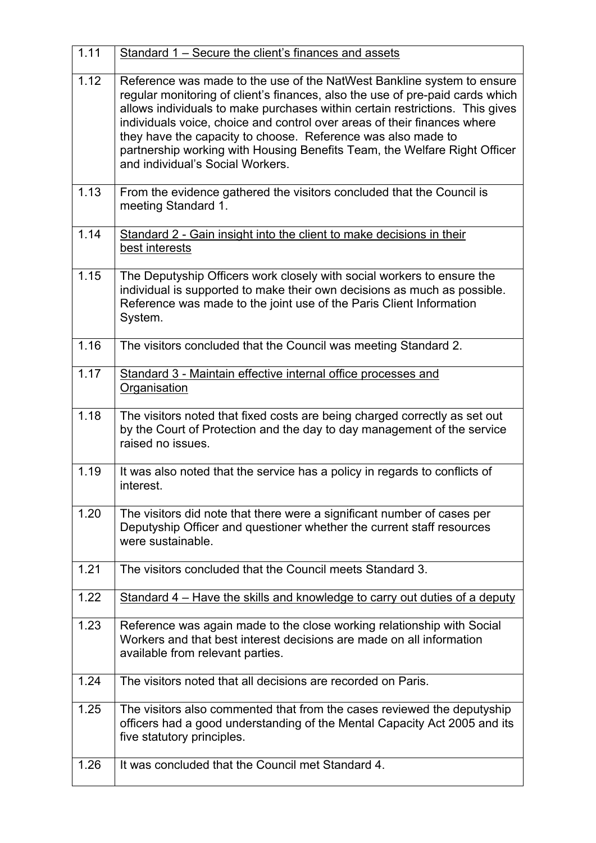| 1.11 | Standard 1 - Secure the client's finances and assets                                                                                                                                                                                                                                                                                                                                                                                                                                                 |
|------|------------------------------------------------------------------------------------------------------------------------------------------------------------------------------------------------------------------------------------------------------------------------------------------------------------------------------------------------------------------------------------------------------------------------------------------------------------------------------------------------------|
| 1.12 | Reference was made to the use of the NatWest Bankline system to ensure<br>regular monitoring of client's finances, also the use of pre-paid cards which<br>allows individuals to make purchases within certain restrictions. This gives<br>individuals voice, choice and control over areas of their finances where<br>they have the capacity to choose. Reference was also made to<br>partnership working with Housing Benefits Team, the Welfare Right Officer<br>and individual's Social Workers. |
| 1.13 | From the evidence gathered the visitors concluded that the Council is<br>meeting Standard 1.                                                                                                                                                                                                                                                                                                                                                                                                         |
| 1.14 | Standard 2 - Gain insight into the client to make decisions in their<br>best interests                                                                                                                                                                                                                                                                                                                                                                                                               |
| 1.15 | The Deputyship Officers work closely with social workers to ensure the<br>individual is supported to make their own decisions as much as possible.<br>Reference was made to the joint use of the Paris Client Information<br>System.                                                                                                                                                                                                                                                                 |
| 1.16 | The visitors concluded that the Council was meeting Standard 2.                                                                                                                                                                                                                                                                                                                                                                                                                                      |
| 1.17 | Standard 3 - Maintain effective internal office processes and<br>Organisation                                                                                                                                                                                                                                                                                                                                                                                                                        |
| 1.18 | The visitors noted that fixed costs are being charged correctly as set out<br>by the Court of Protection and the day to day management of the service<br>raised no issues.                                                                                                                                                                                                                                                                                                                           |
| 1.19 | It was also noted that the service has a policy in regards to conflicts of<br>interest.                                                                                                                                                                                                                                                                                                                                                                                                              |
| 1.20 | The visitors did note that there were a significant number of cases per<br>Deputyship Officer and questioner whether the current staff resources<br>were sustainable.                                                                                                                                                                                                                                                                                                                                |
| 1.21 | The visitors concluded that the Council meets Standard 3.                                                                                                                                                                                                                                                                                                                                                                                                                                            |
| 1.22 | Standard 4 – Have the skills and knowledge to carry out duties of a deputy                                                                                                                                                                                                                                                                                                                                                                                                                           |
| 1.23 | Reference was again made to the close working relationship with Social<br>Workers and that best interest decisions are made on all information<br>available from relevant parties.                                                                                                                                                                                                                                                                                                                   |
| 1.24 | The visitors noted that all decisions are recorded on Paris.                                                                                                                                                                                                                                                                                                                                                                                                                                         |
| 1.25 | The visitors also commented that from the cases reviewed the deputyship<br>officers had a good understanding of the Mental Capacity Act 2005 and its<br>five statutory principles.                                                                                                                                                                                                                                                                                                                   |
| 1.26 | It was concluded that the Council met Standard 4.                                                                                                                                                                                                                                                                                                                                                                                                                                                    |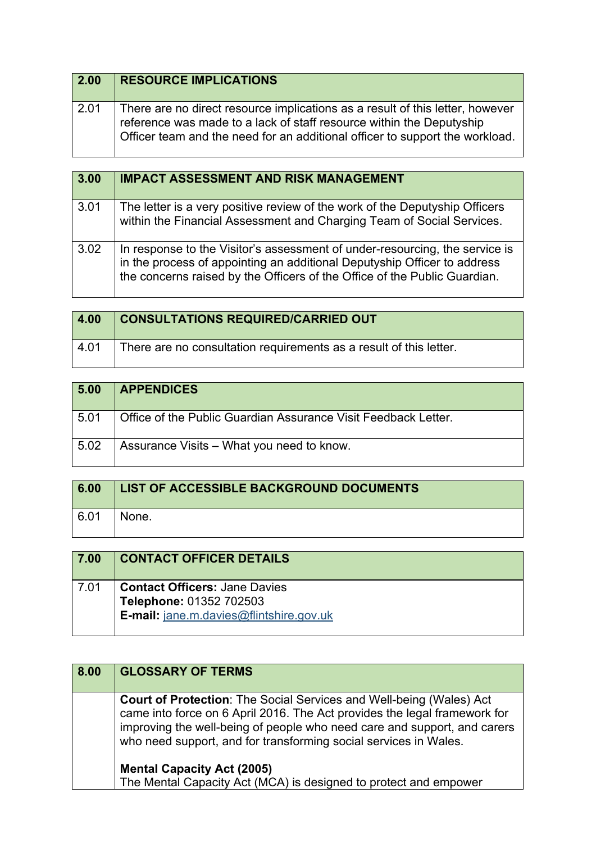| $\vert$ 2.00 | <b>RESOURCE IMPLICATIONS</b>                                                                                                                                                                                                          |
|--------------|---------------------------------------------------------------------------------------------------------------------------------------------------------------------------------------------------------------------------------------|
| 2.01         | There are no direct resource implications as a result of this letter, however<br>reference was made to a lack of staff resource within the Deputyship<br>Officer team and the need for an additional officer to support the workload. |

| 3.00 | <b>IMPACT ASSESSMENT AND RISK MANAGEMENT</b>                                                                                                                                                                                         |
|------|--------------------------------------------------------------------------------------------------------------------------------------------------------------------------------------------------------------------------------------|
| 3.01 | The letter is a very positive review of the work of the Deputyship Officers<br>within the Financial Assessment and Charging Team of Social Services.                                                                                 |
| 3.02 | In response to the Visitor's assessment of under-resourcing, the service is<br>in the process of appointing an additional Deputyship Officer to address<br>the concerns raised by the Officers of the Office of the Public Guardian. |

| 4.00            | <b>CONSULTATIONS REQUIRED/CARRIED OUT</b>                          |
|-----------------|--------------------------------------------------------------------|
| $^{\circ}$ 4.01 | There are no consultation requirements as a result of this letter. |

| 5.00 | <b>APPENDICES</b>                                              |
|------|----------------------------------------------------------------|
| 5.01 | Office of the Public Guardian Assurance Visit Feedback Letter. |
| 5.02 | Assurance Visits – What you need to know.                      |

| 6.00 | <b>LIST OF ACCESSIBLE BACKGROUND DOCUMENTS</b> |
|------|------------------------------------------------|
| 6.01 | None.                                          |

| 7.00 | <b>CONTACT OFFICER DETAILS</b>                                                                                    |
|------|-------------------------------------------------------------------------------------------------------------------|
| 7.01 | <b>Contact Officers: Jane Davies</b><br>Telephone: 01352 702503<br><b>E-mail:</b> jane.m.davies@flintshire.gov.uk |

| 8.00 | <b>GLOSSARY OF TERMS</b>                                                                                                                                                                                                                                                                                |
|------|---------------------------------------------------------------------------------------------------------------------------------------------------------------------------------------------------------------------------------------------------------------------------------------------------------|
|      | <b>Court of Protection:</b> The Social Services and Well-being (Wales) Act<br>came into force on 6 April 2016. The Act provides the legal framework for<br>improving the well-being of people who need care and support, and carers<br>who need support, and for transforming social services in Wales. |
|      | <b>Mental Capacity Act (2005)</b>                                                                                                                                                                                                                                                                       |
|      | The Mental Capacity Act (MCA) is designed to protect and empower                                                                                                                                                                                                                                        |